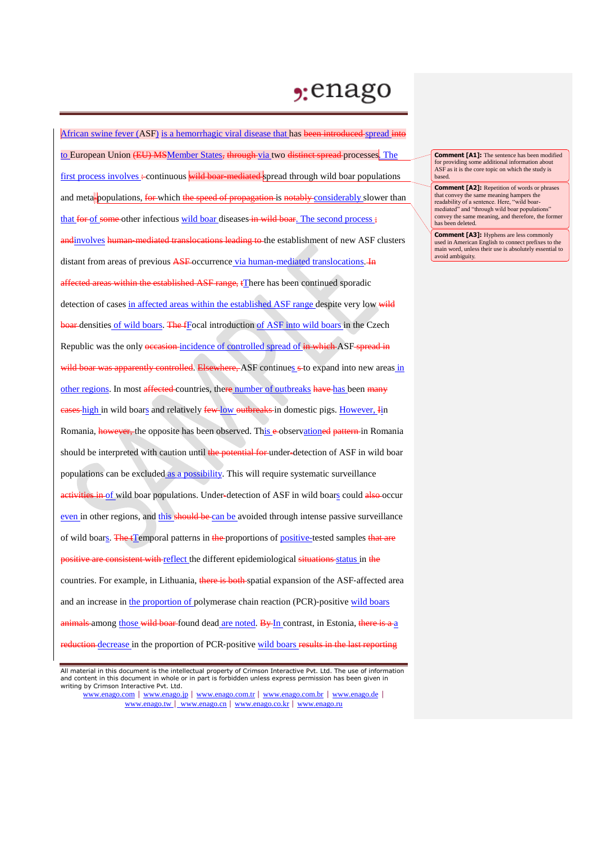## , enago

African swine fever (ASF) is a hemorrhagic viral disease that has been introduced spread into to European Union (EU) MSMember States, through via two distinct spread processes. The first process involves :- continuous wild boar-mediated spread through wild boar populations and meta-populations, for which the speed of propagation is notably considerably slower than that for of some other infectious wild boar diseases in wild boar. The second process: andinvolves human–mediated translocations leading to the establishment of new ASF clusters distant from areas of previous ASF occurrence via human-mediated translocations. In affected areas within the established ASF range, tThere has been continued sporadic detection of cases in affected areas within the established ASF range despite very low wild boar densities of wild boars. The fFocal introduction of ASF into wild boars in the Czech Republic was the only occasion-incidence of controlled spread of in which ASF spread in wild boar was apparently controlled. Elsewhere, ASF continues s to expand into new areas in other regions. In most affected countries, there number of outbreaks have has been many eases-high in wild boars and relatively few-low outbreaks in domestic pigs. However, Iin Romania, **however**, the opposite has been observed. This e-observationed pattern in Romania should be interpreted with caution until the potential for under-detection of ASF in wild boar populations can be excluded as a possibility. This will require systematic surveillance activities in of wild boar populations. Under-detection of ASF in wild boars could also occur even in other regions, and this should be can be avoided through intense passive surveillance of wild boars. The tTemporal patterns in the proportions of positive-tested samples that are positive are consistent with reflect the different epidemiological situations status in the countries. For example, in Lithuania, there is both spatial expansion of the ASF-affected area and an increase in the proportion of polymerase chain reaction (PCR)-positive wild boars  $\frac{1}{2}$  animals among those wild boar found dead are noted. By In contrast, in Estonia, there is a a reduction-decrease in the proportion of PCR-positive wild boars results in the last reporting

**Comment [A1]:** The sentence has been modified for providing some additional information about ASF as it is the core topic on which the study is based.

**Comment [A2]:** Repetition of words or phrases that convey the same meaning hampers the readability of a sentence. Here, "wild boarmediated" and "through wild boar populations" convey the same meaning, and therefore, the former has been deleted.

**Comment [A3]:** Hyphens are less commonly used in American English to connect prefixes to the main word, unless their use is absolutely essential to avoid ambiguity.

All material in this document is the intellectual property of Crimson Interactive Pvt. Ltd. The use of information and content in this document in whole or in part is forbidden unless express permission has been given in writing by Crimson Interactive Pvt. Ltd.

www.enago.com | www.enago.jp | www.enago.com.tr | www.enago.com.br | www.enago.de | www.enago.tw | www.enago.cn | www.enago.co.kr | www.enago.ru